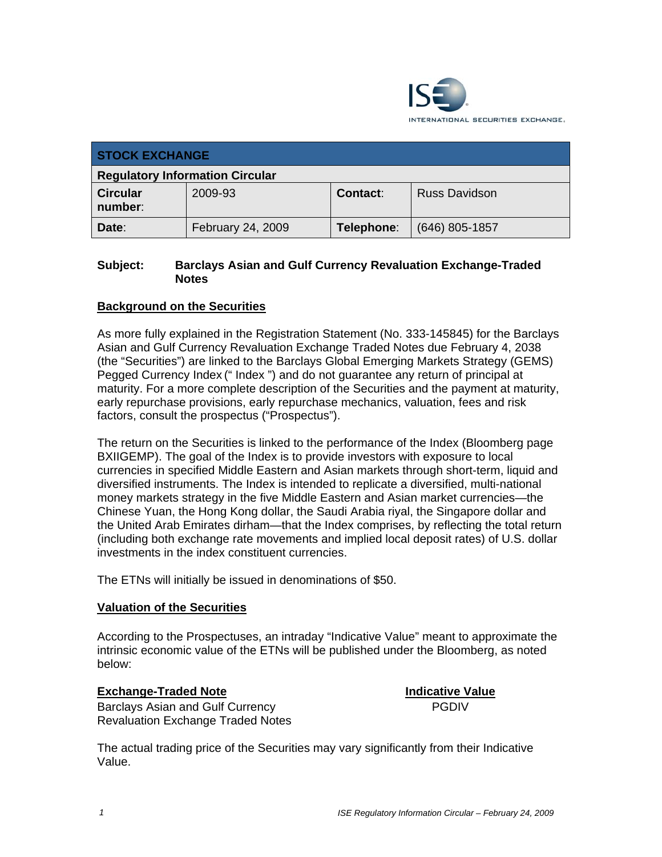

| <b>STOCK EXCHANGE</b>                  |                   |            |                      |
|----------------------------------------|-------------------|------------|----------------------|
| <b>Regulatory Information Circular</b> |                   |            |                      |
| <b>Circular</b><br>number:             | 2009-93           | Contact:   | <b>Russ Davidson</b> |
| Date:                                  | February 24, 2009 | Telephone: | $(646)$ 805-1857     |

### **Subject: Barclays Asian and Gulf Currency Revaluation Exchange-Traded Notes**

## **Background on the Securities**

As more fully explained in the Registration Statement (No. 333-145845) for the Barclays Asian and Gulf Currency Revaluation Exchange Traded Notes due February 4, 2038 (the "Securities") are linked to the Barclays Global Emerging Markets Strategy (GEMS) Pegged Currency Index (" Index ") and do not guarantee any return of principal at maturity. For a more complete description of the Securities and the payment at maturity, early repurchase provisions, early repurchase mechanics, valuation, fees and risk factors, consult the prospectus ("Prospectus").

The return on the Securities is linked to the performance of the Index (Bloomberg page BXIIGEMP). The goal of the Index is to provide investors with exposure to local currencies in specified Middle Eastern and Asian markets through short-term, liquid and diversified instruments. The Index is intended to replicate a diversified, multi-national money markets strategy in the five Middle Eastern and Asian market currencies—the Chinese Yuan, the Hong Kong dollar, the Saudi Arabia riyal, the Singapore dollar and the United Arab Emirates dirham—that the Index comprises, by reflecting the total return (including both exchange rate movements and implied local deposit rates) of U.S. dollar investments in the index constituent currencies.

The ETNs will initially be issued in denominations of \$50.

#### **Valuation of the Securities**

According to the Prospectuses, an intraday "Indicative Value" meant to approximate the intrinsic economic value of the ETNs will be published under the Bloomberg, as noted below:

#### **Exchange-Traded Note Indicative Value**

PGDIV

Barclays Asian and Gulf Currency Revaluation Exchange Traded Notes

The actual trading price of the Securities may vary significantly from their Indicative Value.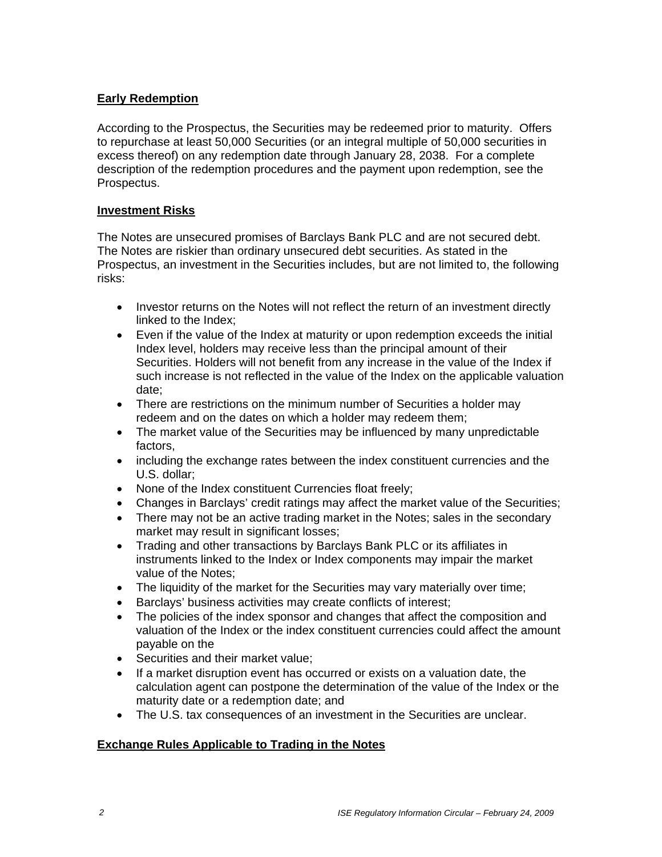## **Early Redemption**

According to the Prospectus, the Securities may be redeemed prior to maturity. Offers to repurchase at least 50,000 Securities (or an integral multiple of 50,000 securities in excess thereof) on any redemption date through January 28, 2038. For a complete description of the redemption procedures and the payment upon redemption, see the Prospectus.

#### **Investment Risks**

The Notes are unsecured promises of Barclays Bank PLC and are not secured debt. The Notes are riskier than ordinary unsecured debt securities. As stated in the Prospectus, an investment in the Securities includes, but are not limited to, the following risks:

- Investor returns on the Notes will not reflect the return of an investment directly linked to the Index;
- Even if the value of the Index at maturity or upon redemption exceeds the initial Index level, holders may receive less than the principal amount of their Securities. Holders will not benefit from any increase in the value of the Index if such increase is not reflected in the value of the Index on the applicable valuation date;
- There are restrictions on the minimum number of Securities a holder may redeem and on the dates on which a holder may redeem them;
- The market value of the Securities may be influenced by many unpredictable factors,
- including the exchange rates between the index constituent currencies and the U.S. dollar;
- None of the Index constituent Currencies float freely;
- Changes in Barclays' credit ratings may affect the market value of the Securities;
- There may not be an active trading market in the Notes; sales in the secondary market may result in significant losses;
- Trading and other transactions by Barclays Bank PLC or its affiliates in instruments linked to the Index or Index components may impair the market value of the Notes;
- The liquidity of the market for the Securities may vary materially over time;
- Barclays' business activities may create conflicts of interest;
- The policies of the index sponsor and changes that affect the composition and valuation of the Index or the index constituent currencies could affect the amount payable on the
- Securities and their market value;
- If a market disruption event has occurred or exists on a valuation date, the calculation agent can postpone the determination of the value of the Index or the maturity date or a redemption date; and
- The U.S. tax consequences of an investment in the Securities are unclear.

# **Exchange Rules Applicable to Trading in the Notes**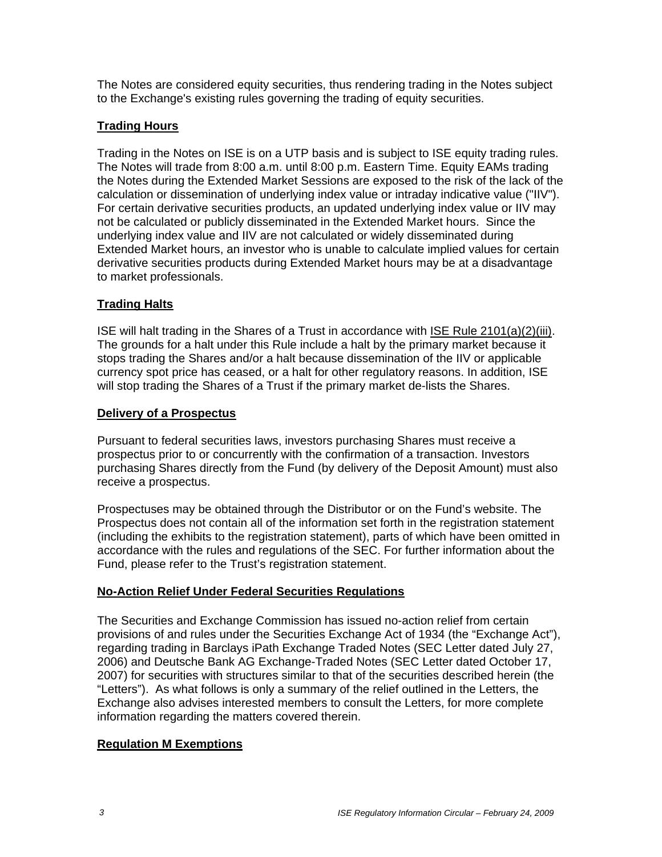The Notes are considered equity securities, thus rendering trading in the Notes subject to the Exchange's existing rules governing the trading of equity securities.

# **Trading Hours**

Trading in the Notes on ISE is on a UTP basis and is subject to ISE equity trading rules. The Notes will trade from 8:00 a.m. until 8:00 p.m. Eastern Time. Equity EAMs trading the Notes during the Extended Market Sessions are exposed to the risk of the lack of the calculation or dissemination of underlying index value or intraday indicative value ("IIV"). For certain derivative securities products, an updated underlying index value or IIV may not be calculated or publicly disseminated in the Extended Market hours. Since the underlying index value and IIV are not calculated or widely disseminated during Extended Market hours, an investor who is unable to calculate implied values for certain derivative securities products during Extended Market hours may be at a disadvantage to market professionals.

## **Trading Halts**

ISE will halt trading in the Shares of a Trust in accordance with ISE Rule 2101(a)(2)(iii). The grounds for a halt under this Rule include a halt by the primary market because it stops trading the Shares and/or a halt because dissemination of the IIV or applicable currency spot price has ceased, or a halt for other regulatory reasons. In addition, ISE will stop trading the Shares of a Trust if the primary market de-lists the Shares.

### **Delivery of a Prospectus**

Pursuant to federal securities laws, investors purchasing Shares must receive a prospectus prior to or concurrently with the confirmation of a transaction. Investors purchasing Shares directly from the Fund (by delivery of the Deposit Amount) must also receive a prospectus.

Prospectuses may be obtained through the Distributor or on the Fund's website. The Prospectus does not contain all of the information set forth in the registration statement (including the exhibits to the registration statement), parts of which have been omitted in accordance with the rules and regulations of the SEC. For further information about the Fund, please refer to the Trust's registration statement.

# **No-Action Relief Under Federal Securities Regulations**

The Securities and Exchange Commission has issued no-action relief from certain provisions of and rules under the Securities Exchange Act of 1934 (the "Exchange Act"), regarding trading in Barclays iPath Exchange Traded Notes (SEC Letter dated July 27, 2006) and Deutsche Bank AG Exchange-Traded Notes (SEC Letter dated October 17, 2007) for securities with structures similar to that of the securities described herein (the "Letters"). As what follows is only a summary of the relief outlined in the Letters, the Exchange also advises interested members to consult the Letters, for more complete information regarding the matters covered therein.

# **Regulation M Exemptions**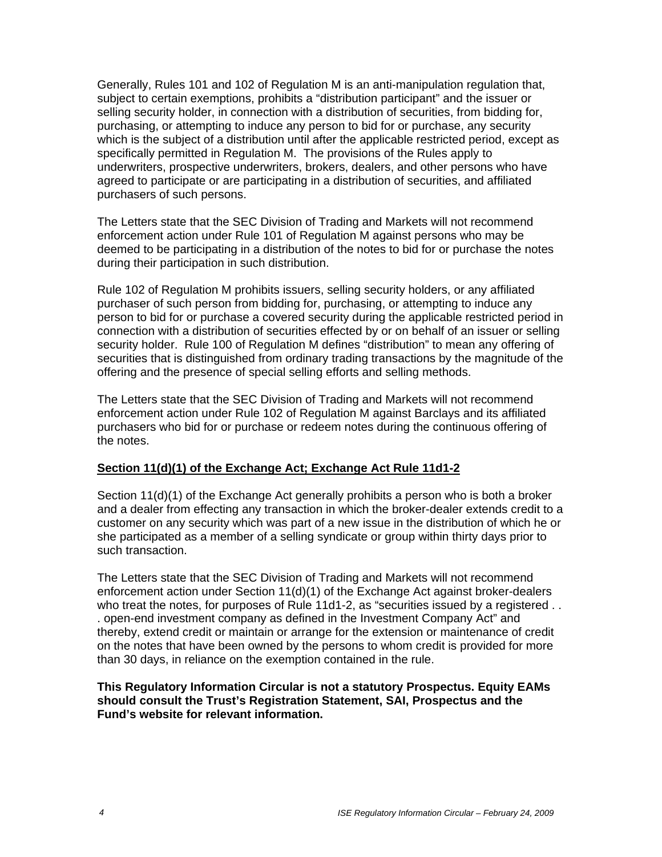Generally, Rules 101 and 102 of Regulation M is an anti-manipulation regulation that, subject to certain exemptions, prohibits a "distribution participant" and the issuer or selling security holder, in connection with a distribution of securities, from bidding for, purchasing, or attempting to induce any person to bid for or purchase, any security which is the subject of a distribution until after the applicable restricted period, except as specifically permitted in Regulation M. The provisions of the Rules apply to underwriters, prospective underwriters, brokers, dealers, and other persons who have agreed to participate or are participating in a distribution of securities, and affiliated purchasers of such persons.

The Letters state that the SEC Division of Trading and Markets will not recommend enforcement action under Rule 101 of Regulation M against persons who may be deemed to be participating in a distribution of the notes to bid for or purchase the notes during their participation in such distribution.

Rule 102 of Regulation M prohibits issuers, selling security holders, or any affiliated purchaser of such person from bidding for, purchasing, or attempting to induce any person to bid for or purchase a covered security during the applicable restricted period in connection with a distribution of securities effected by or on behalf of an issuer or selling security holder. Rule 100 of Regulation M defines "distribution" to mean any offering of securities that is distinguished from ordinary trading transactions by the magnitude of the offering and the presence of special selling efforts and selling methods.

The Letters state that the SEC Division of Trading and Markets will not recommend enforcement action under Rule 102 of Regulation M against Barclays and its affiliated purchasers who bid for or purchase or redeem notes during the continuous offering of the notes.

### **Section 11(d)(1) of the Exchange Act; Exchange Act Rule 11d1-2**

Section 11(d)(1) of the Exchange Act generally prohibits a person who is both a broker and a dealer from effecting any transaction in which the broker-dealer extends credit to a customer on any security which was part of a new issue in the distribution of which he or she participated as a member of a selling syndicate or group within thirty days prior to such transaction.

The Letters state that the SEC Division of Trading and Markets will not recommend enforcement action under Section 11(d)(1) of the Exchange Act against broker-dealers who treat the notes, for purposes of Rule 11d1-2, as "securities issued by a registered . . . open-end investment company as defined in the Investment Company Act" and thereby, extend credit or maintain or arrange for the extension or maintenance of credit on the notes that have been owned by the persons to whom credit is provided for more than 30 days, in reliance on the exemption contained in the rule.

#### **This Regulatory Information Circular is not a statutory Prospectus. Equity EAMs should consult the Trust's Registration Statement, SAI, Prospectus and the Fund's website for relevant information.**